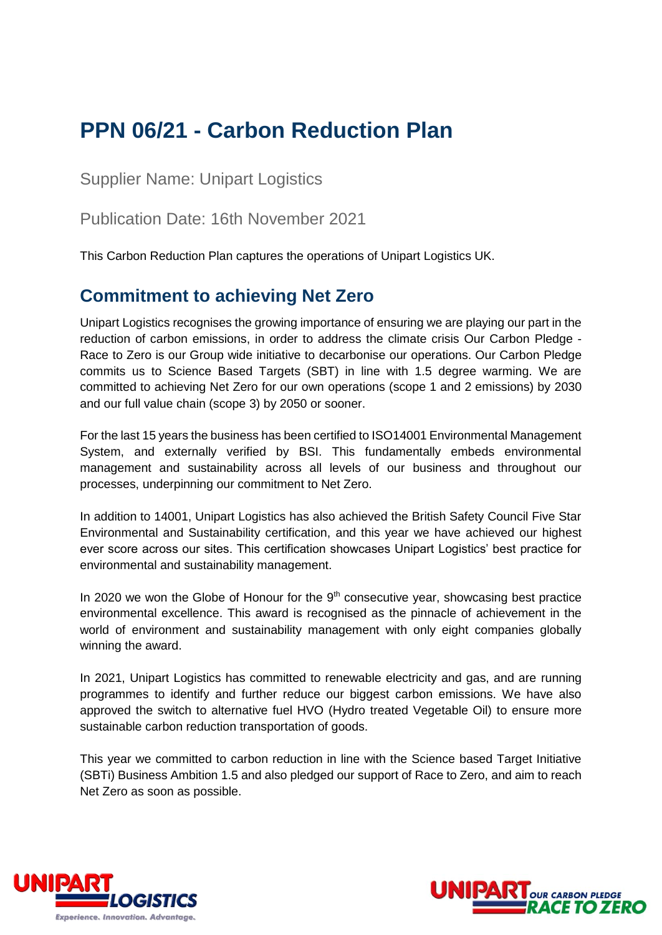# **PPN 06/21 - Carbon Reduction Plan**

Supplier Name: Unipart Logistics

Publication Date: 16th November 2021

This Carbon Reduction Plan captures the operations of Unipart Logistics UK.

## **Commitment to achieving Net Zero**

Unipart Logistics recognises the growing importance of ensuring we are playing our part in the reduction of carbon emissions, in order to address the climate crisis Our Carbon Pledge - Race to Zero is our Group wide initiative to decarbonise our operations. Our Carbon Pledge commits us to Science Based Targets (SBT) in line with 1.5 degree warming. We are committed to achieving Net Zero for our own operations (scope 1 and 2 emissions) by 2030 and our full value chain (scope 3) by 2050 or sooner.

For the last 15 years the business has been certified to ISO14001 Environmental Management System, and externally verified by BSI. This fundamentally embeds environmental management and sustainability across all levels of our business and throughout our processes, underpinning our commitment to Net Zero.

In addition to 14001, Unipart Logistics has also achieved the British Safety Council Five Star Environmental and Sustainability certification, and this year we have achieved our highest ever score across our sites. This certification showcases Unipart Logistics' best practice for environmental and sustainability management.

In 2020 we won the Globe of Honour for the 9<sup>th</sup> consecutive year, showcasing best practice environmental excellence. This award is recognised as the pinnacle of achievement in the world of environment and sustainability management with only eight companies globally winning the award.

In 2021, Unipart Logistics has committed to renewable electricity and gas, and are running programmes to identify and further reduce our biggest carbon emissions. We have also approved the switch to alternative fuel HVO (Hydro treated Vegetable Oil) to ensure more sustainable carbon reduction transportation of goods.

This year we committed to carbon reduction in line with the Science based Target Initiative (SBTi) Business Ambition 1.5 and also pledged our support of Race to Zero, and aim to reach Net Zero as soon as possible.



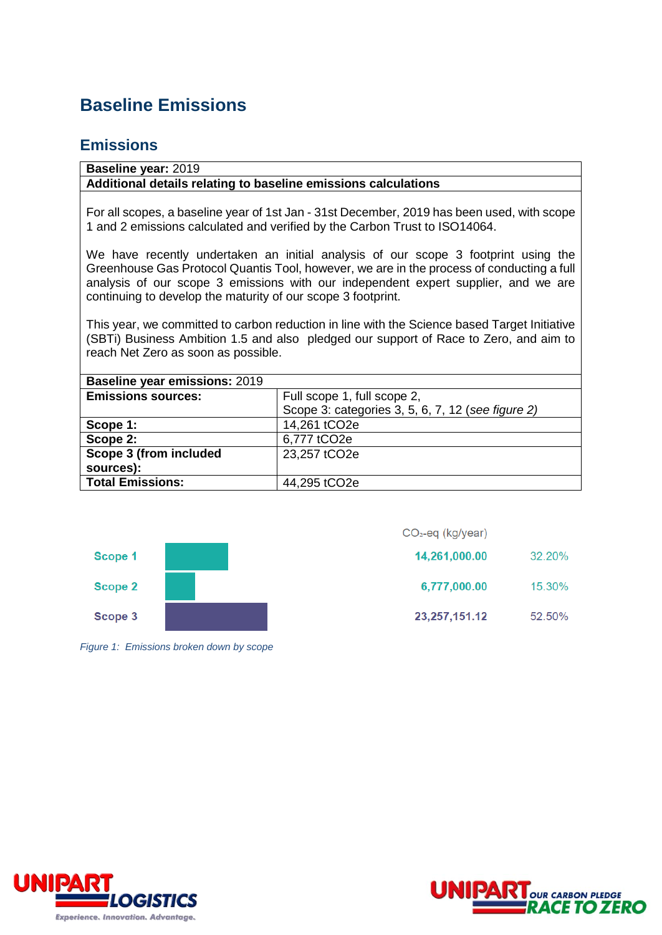## **Baseline Emissions**

#### **Emissions**

#### **Baseline year:** 2019 **Additional details relating to baseline emissions calculations**

For all scopes, a baseline year of 1st Jan - 31st December, 2019 has been used, with scope 1 and 2 emissions calculated and verified by the Carbon Trust to ISO14064.

We have recently undertaken an initial analysis of our scope 3 footprint using the Greenhouse Gas Protocol Quantis Tool, however, we are in the process of conducting a full analysis of our scope 3 emissions with our independent expert supplier, and we are continuing to develop the maturity of our scope 3 footprint.

This year, we committed to carbon reduction in line with the Science based Target Initiative (SBTi) Business Ambition 1.5 and also pledged our support of Race to Zero, and aim to reach Net Zero as soon as possible.

| <b>Baseline year emissions: 2019</b> |                                                   |
|--------------------------------------|---------------------------------------------------|
| <b>Emissions sources:</b>            | Full scope 1, full scope 2,                       |
|                                      | Scope 3: categories 3, 5, 6, 7, 12 (see figure 2) |
| Scope 1:                             | 14,261 tCO2e                                      |
| Scope 2:                             | 6,777 tCO2e                                       |
| Scope 3 (from included               | 23,257 tCO2e                                      |
| sources):                            |                                                   |
| <b>Total Emissions:</b>              | 44,295 tCO2e                                      |



*Figure 1: Emissions broken down by scope*

| 32.20% |
|--------|
| 15.30% |
| 52.50% |
|        |



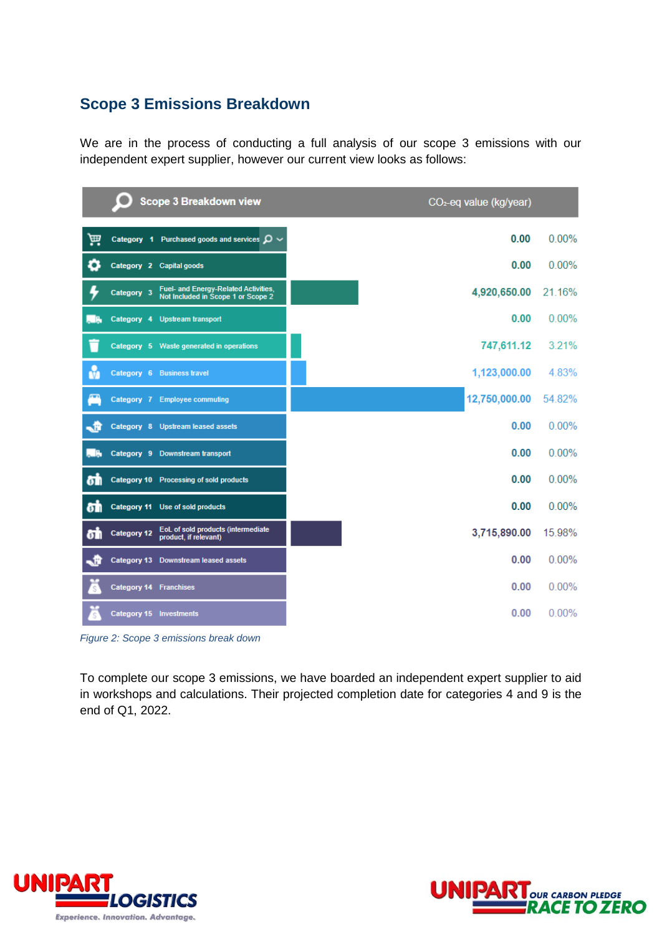#### **Scope 3 Emissions Breakdown**

We are in the process of conducting a full analysis of our scope 3 emissions with our independent expert supplier, however our current view looks as follows:

|     | O<br><b>Scope 3 Breakdown view</b>                                                       | CO <sub>2</sub> -eq value (kg/year) |          |
|-----|------------------------------------------------------------------------------------------|-------------------------------------|----------|
| 扁   | Category 1 Purchased goods and services $\mathcal{Q} \sim$                               | 0.00                                | $0.00\%$ |
| O   | Category 2 Capital goods                                                                 | 0.00                                | $0.00\%$ |
|     | Fuel- and Energy-Related Activities,<br>Category 3<br>Not Included in Scope 1 or Scope 2 | 4,920,650.00                        | 21.16%   |
|     | Category 4 Upstream transport                                                            | 0.00                                | 0.00%    |
|     | Category 5 Waste generated in operations                                                 | 747,611.12                          | 3.21%    |
| M   | Category 6 Business travel                                                               | 1,123,000.00                        | 4.83%    |
|     | Category 7 Employee commuting                                                            | 12,750,000.00                       | 54.82%   |
| - R | Category 8 Upstream leased assets                                                        | 0.00                                | 0.00%    |
|     | Category 9 Downstream transport                                                          | 0.00                                | $0.00\%$ |
| δħ  | Category 10 Processing of sold products                                                  | 0.00                                | $0.00\%$ |
| δħ  | Category 11 Use of sold products                                                         | 0.00                                | 0.00%    |
| δŤ  | EoL of sold products (intermediate<br><b>Category 12</b><br>product, if relevant)        | 3,715,890.00                        | 15.98%   |
| - F | Category 13 Downstream leased assets                                                     | 0.00                                | $0.00\%$ |
|     | <b>Category 14 Franchises</b>                                                            | 0.00                                | $0.00\%$ |
|     | Category 15 Investments                                                                  | 0.00                                | 0.00%    |

*Figure 2: Scope 3 emissions break down*

To complete our scope 3 emissions, we have boarded an independent expert supplier to aid in workshops and calculations. Their projected completion date for categories 4 and 9 is the end of Q1, 2022.



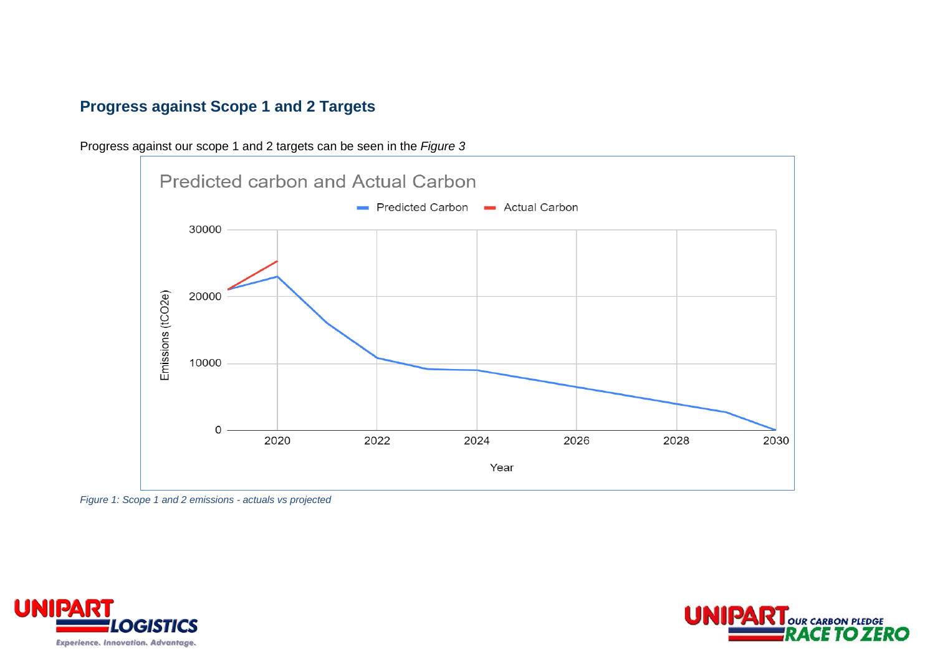### **Progress against Scope 1 and 2 Targets**

Progress against our scope 1 and 2 targets can be seen in the *Figure 3*



*Figure 1: Scope 1 and 2 emissions - actuals vs projected*



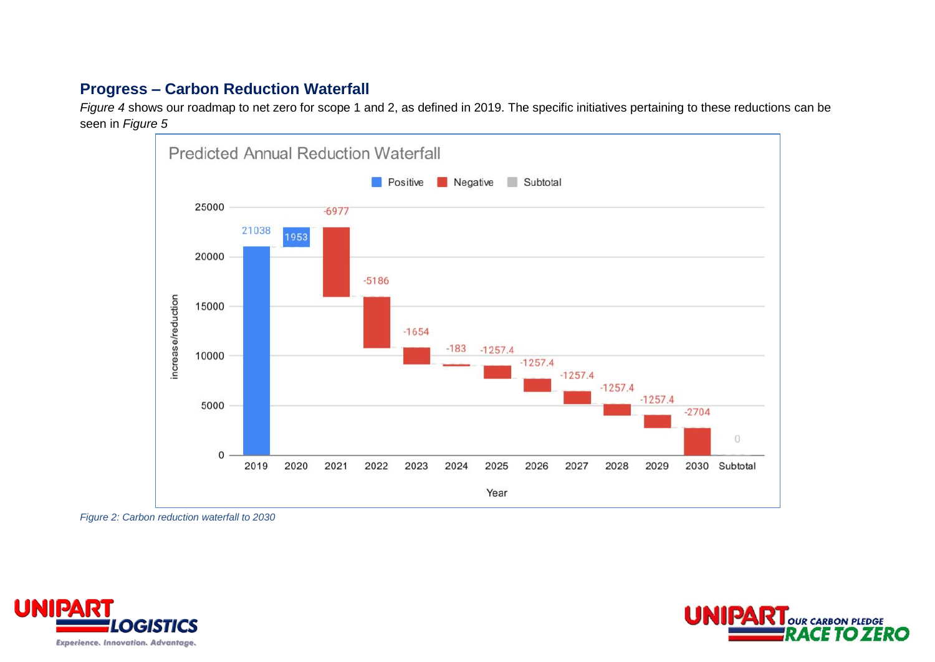### **Progress – Carbon Reduction Waterfall**

*Figure 4* shows our roadmap to net zero for scope 1 and 2, as defined in 2019. The specific initiatives pertaining to these reductions can be seen in *Figure 5*



*Figure 2: Carbon reduction waterfall to 2030*



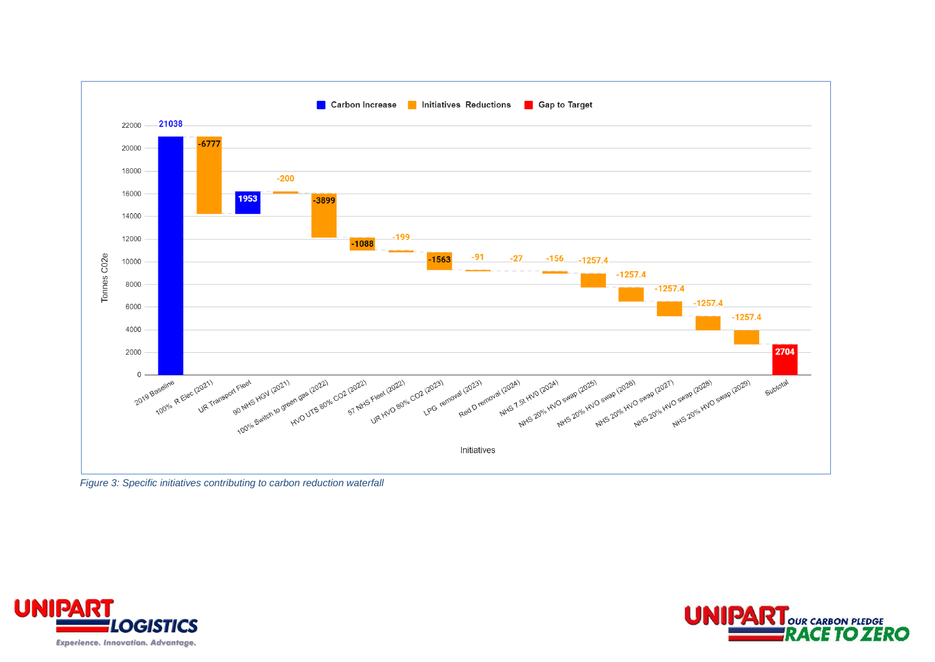

*Figure 3: Specific initiatives contributing to carbon reduction waterfall*



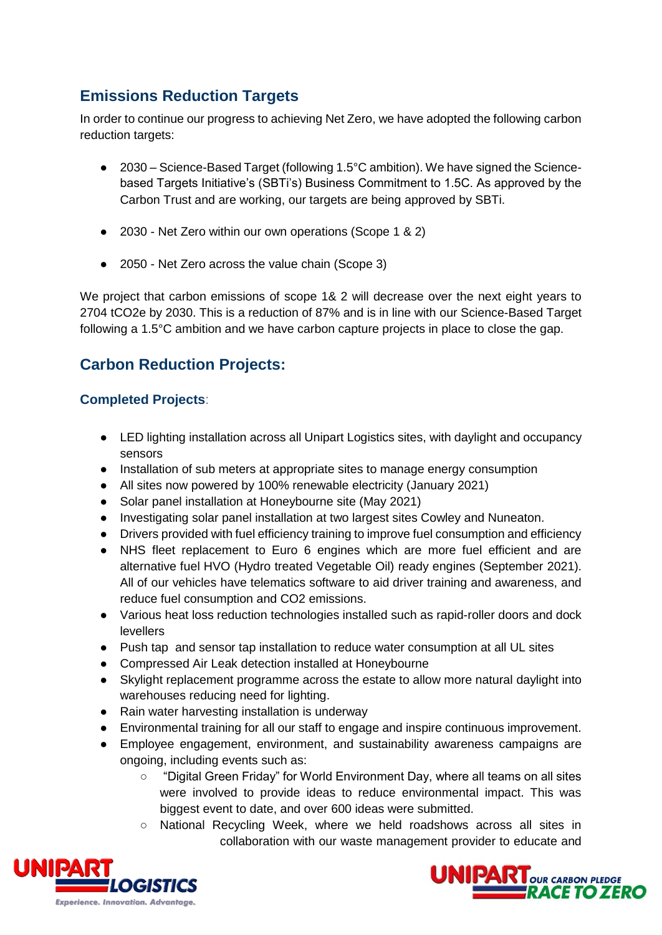## **Emissions Reduction Targets**

In order to continue our progress to achieving Net Zero, we have adopted the following carbon reduction targets:

- 2030 Science-Based Target (following 1.5°C ambition). We have signed the Sciencebased Targets Initiative's (SBTi's) Business Commitment to 1.5C. As approved by the Carbon Trust and are working, our targets are being approved by SBTi.
- 2030 Net Zero within our own operations (Scope 1 & 2)
- 2050 Net Zero across the value chain (Scope 3)

We project that carbon emissions of scope 1& 2 will decrease over the next eight years to 2704 tCO2e by 2030. This is a reduction of 87% and is in line with our Science-Based Target following a 1.5°C ambition and we have carbon capture projects in place to close the gap.

### **Carbon Reduction Projects:**

#### **Completed Projects**:

- LED lighting installation across all Unipart Logistics sites, with daylight and occupancy sensors
- Installation of sub meters at appropriate sites to manage energy consumption
- All sites now powered by 100% renewable electricity (January 2021)
- Solar panel installation at Honeybourne site (May 2021)
- Investigating solar panel installation at two largest sites Cowley and Nuneaton.
- Drivers provided with fuel efficiency training to improve fuel consumption and efficiency
- NHS fleet replacement to Euro 6 engines which are more fuel efficient and are alternative fuel HVO (Hydro treated Vegetable Oil) ready engines (September 2021). All of our vehicles have telematics software to aid driver training and awareness, and reduce fuel consumption and CO2 emissions.
- Various heat loss reduction technologies installed such as rapid-roller doors and dock levellers
- Push tap and sensor tap installation to reduce water consumption at all UL sites
- Compressed Air Leak detection installed at Honeybourne
- Skylight replacement programme across the estate to allow more natural daylight into warehouses reducing need for lighting.
- Rain water harvesting installation is underway
- Environmental training for all our staff to engage and inspire continuous improvement.
- Employee engagement, environment, and sustainability awareness campaigns are ongoing, including events such as:
	- "Digital Green Friday" for World Environment Day, where all teams on all sites were involved to provide ideas to reduce environmental impact. This was biggest event to date, and over 600 ideas were submitted.
	- National Recycling Week, where we held roadshows across all sites in collaboration with our waste management provider to educate and



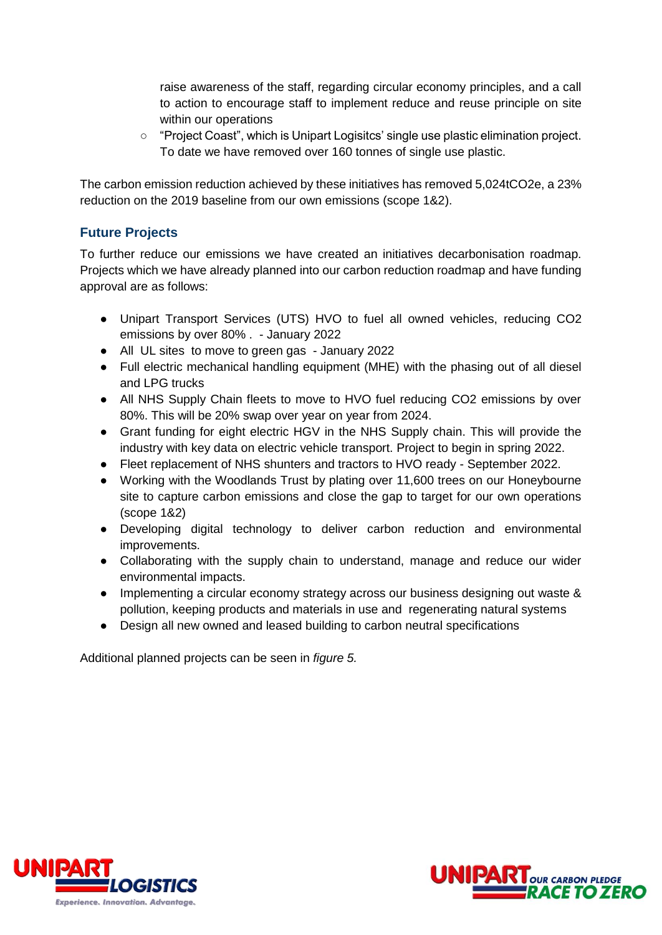raise awareness of the staff, regarding circular economy principles, and a call to action to encourage staff to implement reduce and reuse principle on site within our operations

○ "Project Coast", which is Unipart Logisitcs' single use plastic elimination project. To date we have removed over 160 tonnes of single use plastic.

The carbon emission reduction achieved by these initiatives has removed 5,024tCO2e, a 23% reduction on the 2019 baseline from our own emissions (scope 1&2).

#### **Future Projects**

To further reduce our emissions we have created an initiatives decarbonisation roadmap. Projects which we have already planned into our carbon reduction roadmap and have funding approval are as follows:

- Unipart Transport Services (UTS) HVO to fuel all owned vehicles, reducing CO2 emissions by over 80% . - January 2022
- All UL sites to move to green gas January 2022
- Full electric mechanical handling equipment (MHE) with the phasing out of all diesel and LPG trucks
- All NHS Supply Chain fleets to move to HVO fuel reducing CO2 emissions by over 80%. This will be 20% swap over year on year from 2024.
- Grant funding for eight electric HGV in the NHS Supply chain. This will provide the industry with key data on electric vehicle transport. Project to begin in spring 2022.
- Fleet replacement of NHS shunters and tractors to HVO ready September 2022.
- Working with the Woodlands Trust by plating over 11,600 trees on our Honeybourne site to capture carbon emissions and close the gap to target for our own operations (scope 1&2)
- Developing digital technology to deliver carbon reduction and environmental improvements.
- Collaborating with the supply chain to understand, manage and reduce our wider environmental impacts.
- Implementing a circular economy strategy across our business designing out waste & pollution, keeping products and materials in use and regenerating natural systems
- Design all new owned and leased building to carbon neutral specifications

Additional planned projects can be seen in *figure 5.*